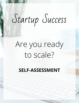## Startup Success

## Are you ready to scale?

**SELF-ASSESSMENT**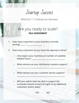Startup Success

MODULE 7 // Scaling Your Business

## Are you ready to scale? **SELF-ASSESSMENT**

- 1. How many customers is your business currently serving? \_\_\_\_\_ / \_\_\_\_\_\_
- 2. How many customers do you have the capacity to serve?
	- How large is your inventory or number of available billable hours? \_\_\_\_\_\_\_\_\_\_\_\_\_\_\_\_\_\_\_\_\_\_\_\_\_\_\_\_\_\_\_\_\_\_\_\_
	- What volume can your distribution systems support?

\_\_\_\_\_\_\_\_\_\_\_\_\_\_\_\_\_\_\_\_\_\_\_\_\_\_\_\_\_\_\_\_\_\_\_\_\_\_\_\_\_\_\_\_\_\_\_\_\_\_\_\_

 $\mathcal{P}_\text{max}$  , and the set of  $\mathcal{P}_\text{max}$  , and the set of  $\mathcal{P}_\text{max}$  , and the set of  $\mathcal{P}_\text{max}$ 

- What volume can your customer service support?
- Will your admin team be able to support the increased volume of work brought on by additional customers and/or sales?

YES NO